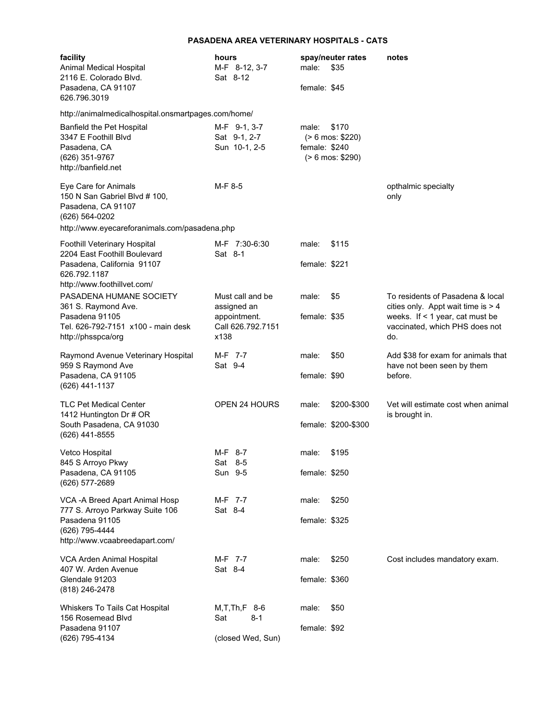## **PASADENA AREA VETERINARY HOSPITALS - CATS**

|  | facility<br>Animal Medical Hospital<br>2116 E. Colorado Blvd.                                                                                  | hours<br>M-F 8-12, 3-7<br>Sat 8-12                       | male:                  | spay/neuter rates<br>\$35                           | notes                                                                                                                                                     |
|--|------------------------------------------------------------------------------------------------------------------------------------------------|----------------------------------------------------------|------------------------|-----------------------------------------------------|-----------------------------------------------------------------------------------------------------------------------------------------------------------|
|  | Pasadena, CA 91107<br>626.796.3019                                                                                                             |                                                          | female: \$45           |                                                     |                                                                                                                                                           |
|  | http://animalmedicalhospital.onsmartpages.com/home/                                                                                            |                                                          |                        |                                                     |                                                                                                                                                           |
|  | <b>Banfield the Pet Hospital</b><br>3347 E Foothill Blvd<br>Pasadena, CA<br>(626) 351-9767<br>http://banfield.net                              | M-F 9-1, 3-7<br>Sat 9-1, 2-7<br>Sun 10-1, 2-5            | male:<br>female: \$240 | \$170<br>$( > 6$ mos: \$220)<br>$( > 6$ mos: \$290) |                                                                                                                                                           |
|  | Eye Care for Animals<br>150 N San Gabriel Blvd # 100,<br>Pasadena, CA 91107<br>(626) 564-0202<br>http://www.eyecareforanimals.com/pasadena.php | M-F 8-5                                                  |                        |                                                     | opthalmic specialty<br>only                                                                                                                               |
|  | Foothill Veterinary Hospital                                                                                                                   | M-F 7:30-6:30                                            | male:                  | \$115                                               |                                                                                                                                                           |
|  | 2204 East Foothill Boulevard<br>Pasadena, California 91107<br>626.792.1187<br>http://www.foothillvet.com/                                      | Sat 8-1                                                  | female: \$221          |                                                     |                                                                                                                                                           |
|  | PASADENA HUMANE SOCIETY<br>361 S. Raymond Ave.                                                                                                 | Must call and be                                         | male:                  | \$5                                                 | To residents of Pasadena & local<br>cities only. Appt wait time is $> 4$<br>weeks. If $\leq$ 1 year, cat must be<br>vaccinated, which PHS does not<br>do. |
|  | Pasadena 91105<br>Tel. 626-792-7151 x100 - main desk<br>http://phsspca/org                                                                     | assigned an<br>appointment.<br>Call 626.792.7151<br>x138 | female: \$35           |                                                     |                                                                                                                                                           |
|  | Raymond Avenue Veterinary Hospital<br>959 S Raymond Ave                                                                                        | M-F 7-7<br>Sat 9-4                                       | male:                  | \$50                                                | Add \$38 for exam for animals that<br>have not been seen by them                                                                                          |
|  | Pasadena, CA 91105<br>(626) 441-1137                                                                                                           |                                                          | female: \$90           |                                                     | before.                                                                                                                                                   |
|  | <b>TLC Pet Medical Center</b><br>1412 Huntington Dr # OR                                                                                       | <b>OPEN 24 HOURS</b>                                     | male:                  | \$200-\$300                                         | Vet will estimate cost when animal<br>is brought in.                                                                                                      |
|  | South Pasadena, CA 91030<br>(626) 441-8555                                                                                                     |                                                          |                        | female: \$200-\$300                                 |                                                                                                                                                           |
|  | Vetco Hospital<br>845 S Arroyo Pkwy                                                                                                            | M-F 8-7<br>Sat 8-5                                       | male:                  | \$195                                               |                                                                                                                                                           |
|  | Pasadena, CA 91105<br>(626) 577-2689                                                                                                           | Sun 9-5                                                  | female: \$250          |                                                     |                                                                                                                                                           |
|  | VCA - A Breed Apart Animal Hosp<br>777 S. Arroyo Parkway Suite 106                                                                             | M-F 7-7<br>Sat 8-4                                       | male:                  | \$250                                               |                                                                                                                                                           |
|  | Pasadena 91105<br>(626) 795-4444<br>http://www.vcaabreedapart.com/                                                                             |                                                          | female: \$325          |                                                     |                                                                                                                                                           |
|  | VCA Arden Animal Hospital<br>407 W. Arden Avenue                                                                                               | M-F 7-7<br>Sat 8-4                                       | male:                  | \$250                                               | Cost includes mandatory exam.                                                                                                                             |
|  | Glendale 91203<br>(818) 246-2478                                                                                                               |                                                          | female: \$360          |                                                     |                                                                                                                                                           |
|  | Whiskers To Tails Cat Hospital<br>156 Rosemead Blvd                                                                                            | $M, T, Th, F$ 8-6<br>Sat<br>$8 - 1$                      | male:                  | \$50                                                |                                                                                                                                                           |
|  | Pasadena 91107<br>(626) 795-4134                                                                                                               | (closed Wed, Sun)                                        | female: \$92           |                                                     |                                                                                                                                                           |